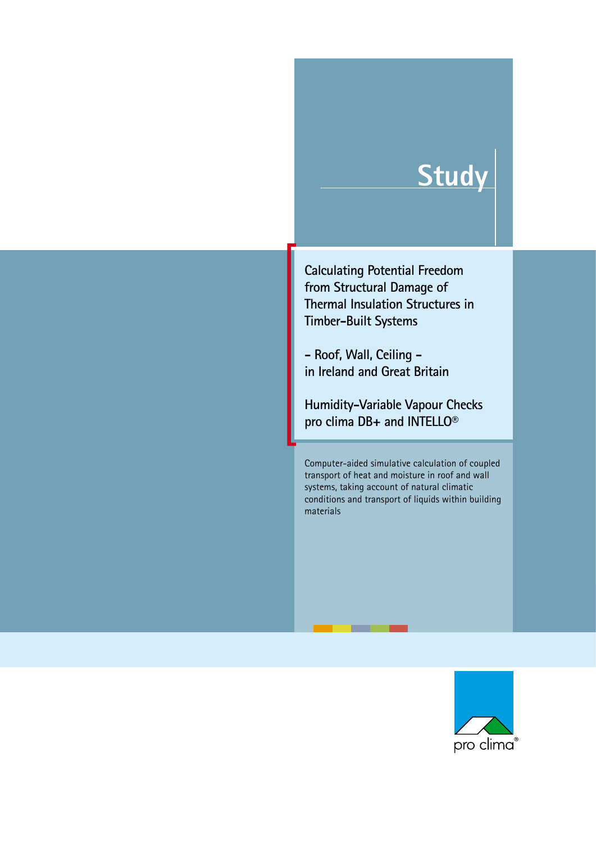# **Study**

**Calculating Potential Freedom from Structural Damage of Thermal Insulation Structures in Timber-Built Systems**

**- Roof, Wall, Ceiling in Ireland and Great Britain**

**Humidity-Variable Vapour Checks pro clima DB+ and INTELLO®**

Computer-aided simulative calculation of coupled transport of heat and moisture in roof and wall systems, taking account of natural climatic conditions and transport of liquids within building materials

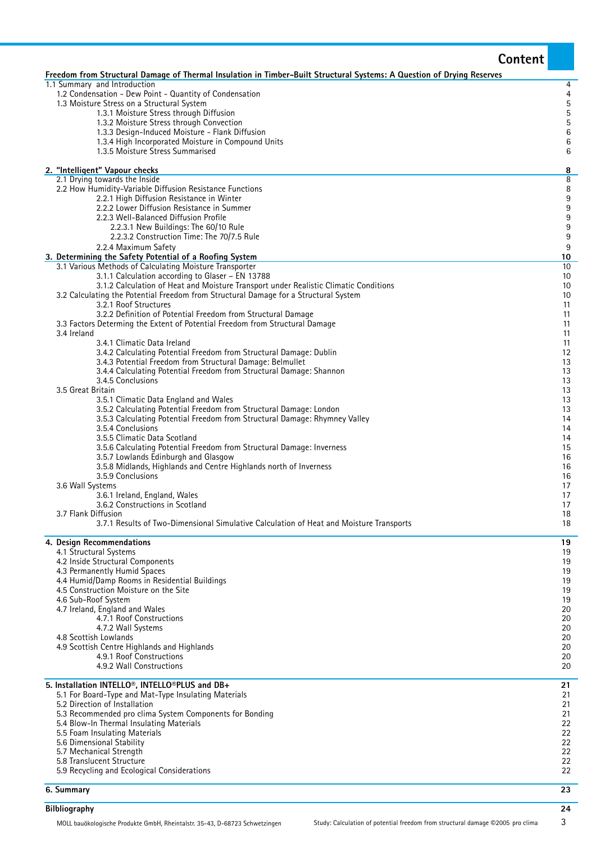|                                                                                                                                                                              | <b>Content</b>                     |
|------------------------------------------------------------------------------------------------------------------------------------------------------------------------------|------------------------------------|
| Freedom from Structural Damage of Thermal Insulation in Timber-Built Structural Systems: A Question of Drying Reserves                                                       |                                    |
| 1.1 Summary and Introduction<br>1.2 Condensation - Dew Point - Quantity of Condensation                                                                                      | 4<br>$\overline{4}$                |
| 1.3 Moisture Stress on a Structural System                                                                                                                                   |                                    |
| 1.3.1 Moisture Stress through Diffusion<br>1.3.2 Moisture Stress through Convection                                                                                          | 5<br>5<br>5                        |
| 1.3.3 Design-Induced Moisture - Flank Diffusion                                                                                                                              | $\,$ 6 $\,$                        |
| 1.3.4 High Incorporated Moisture in Compound Units<br>1.3.5 Moisture Stress Summarised                                                                                       | $6\phantom{a}$<br>6                |
|                                                                                                                                                                              |                                    |
| 2. "Intelligent" Vapour checks<br>2.1 Drying towards the Inside                                                                                                              | 8<br>8                             |
| 2.2 How Humidity-Variable Diffusion Resistance Functions                                                                                                                     | 8                                  |
| 2.2.1 High Diffusion Resistance in Winter<br>2.2.2 Lower Diffusion Resistance in Summer                                                                                      | $\boldsymbol{9}$<br>$\overline{9}$ |
| 2.2.3 Well-Balanced Diffusion Profile                                                                                                                                        | 9                                  |
| 2.2.3.1 New Buildings: The 60/10 Rule<br>2.2.3.2 Construction Time: The 70/7.5 Rule                                                                                          | $\overline{9}$<br>$\boldsymbol{9}$ |
| 2.2.4 Maximum Safety                                                                                                                                                         | $9\,$                              |
| 3. Determining the Safety Potential of a Roofing System<br>3.1 Various Methods of Calculating Moisture Transporter                                                           | 10<br>10                           |
| 3.1.1 Calculation according to Glaser - EN 13788                                                                                                                             | 10                                 |
| 3.1.2 Calculation of Heat and Moisture Transport under Realistic Climatic Conditions<br>3.2 Calculating the Potential Freedom from Structural Damage for a Structural System | 10<br>10                           |
| 3.2.1 Roof Structures                                                                                                                                                        | 11                                 |
| 3.2.2 Definition of Potential Freedom from Structural Damage                                                                                                                 | 11                                 |
| 3.3 Factors Determing the Extent of Potential Freedom from Structural Damage<br>3.4 Ireland                                                                                  | 11<br>11                           |
| 3.4.1 Climatic Data Ireland                                                                                                                                                  | 11<br>12                           |
| 3.4.2 Calculating Potential Freedom from Structural Damage: Dublin<br>3.4.3 Potential Freedom from Structural Damage: Belmullet                                              | 13                                 |
| 3.4.4 Calculating Potential Freedom from Structural Damage: Shannon                                                                                                          | 13                                 |
| 3.4.5 Conclusions<br>3.5 Great Britain                                                                                                                                       | 13<br>13                           |
| 3.5.1 Climatic Data England and Wales                                                                                                                                        | 13                                 |
| 3.5.2 Calculating Potential Freedom from Structural Damage: London<br>3.5.3 Calculating Potential Freedom from Structural Damage: Rhymney Valley                             | 13<br>14                           |
| 3.5.4 Conclusions                                                                                                                                                            | 14                                 |
| 3.5.5 Climatic Data Scotland<br>3.5.6 Calculating Potential Freedom from Structural Damage: Inverness                                                                        | 14<br>15                           |
| 3.5.7 Lowlands Edinburgh and Glasgow                                                                                                                                         | 16                                 |
| 3.5.8 Midlands, Highlands and Centre Highlands north of Inverness<br>3.5.9 Conclusions                                                                                       | 16<br>16                           |
| 3.6 Wall Systems                                                                                                                                                             | 17<br>17                           |
| 3.6.1 Ireland, England, Wales<br>3.6.2 Constructions in Scotland                                                                                                             | 17                                 |
| 3.7 Flank Diffusion<br>3.7.1 Results of Two-Dimensional Simulative Calculation of Heat and Moisture Transports                                                               | 18<br>18                           |
|                                                                                                                                                                              |                                    |
| 4. Design Recommendations<br>4.1 Structural Systems                                                                                                                          | 19<br>19                           |
| 4.2 Inside Structural Components                                                                                                                                             | 19                                 |
| 4.3 Permanently Humid Spaces<br>4.4 Humid/Damp Rooms in Residential Buildings                                                                                                | 19<br>19                           |
| 4.5 Construction Moisture on the Site                                                                                                                                        | 19                                 |
| 4.6 Sub-Roof System<br>4.7 Ireland, England and Wales                                                                                                                        | 19<br>20                           |
| 4.7.1 Roof Constructions                                                                                                                                                     | 20                                 |
| 4.7.2 Wall Systems<br>4.8 Scottish Lowlands                                                                                                                                  | 20<br>20                           |
| 4.9 Scottish Centre Highlands and Highlands                                                                                                                                  | 20                                 |
| 4.9.1 Roof Constructions<br>4.9.2 Wall Constructions                                                                                                                         | 20<br>20                           |
| 5. Installation INTELLO®, INTELLO®PLUS and DB+                                                                                                                               | 21                                 |
| 5.1 For Board-Type and Mat-Type Insulating Materials                                                                                                                         | 21                                 |
| 5.2 Direction of Installation<br>5.3 Recommended pro clima System Components for Bonding                                                                                     | 21<br>21                           |
| 5.4 Blow-In Thermal Insulating Materials                                                                                                                                     | 22                                 |
| 5.5 Foam Insulating Materials<br>5.6 Dimensional Stability                                                                                                                   | 22<br>22                           |
| 5.7 Mechanical Strength                                                                                                                                                      | 22                                 |
| 5.8 Translucent Structure                                                                                                                                                    | 22                                 |
| 5.9 Recycling and Ecological Considerations                                                                                                                                  | 22                                 |
| 6. Summary                                                                                                                                                                   | 23                                 |
| <b>Bilbliography</b>                                                                                                                                                         | 24                                 |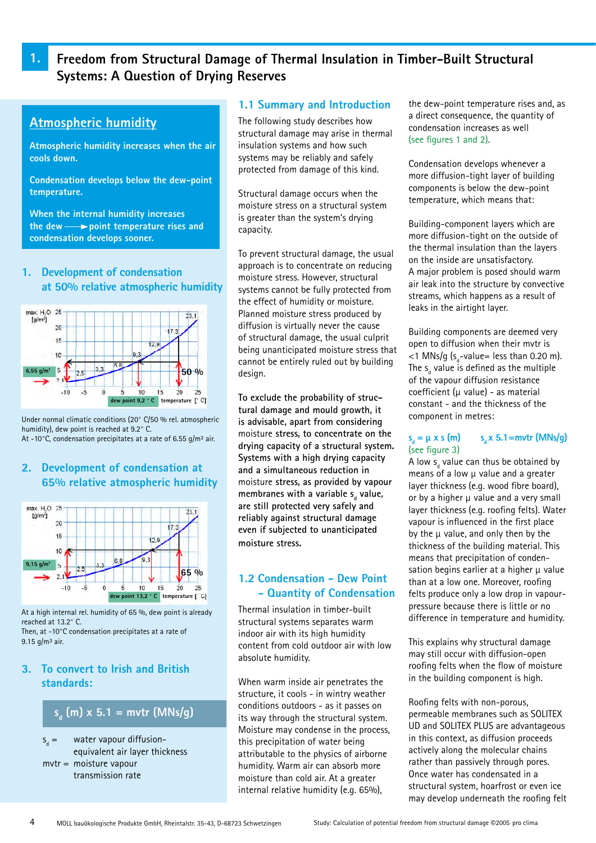# **1. Freedom from Structural Damage of Thermal Insulation in Timber-Built Structural Systems: A Question of Drying Reserves**

# **Atmospheric humidity**

**Atmospheric humidity increases when the air cools down.**

**Condensation develops below the dew-point temperature.**

**When the internal humidity increases the dew point temperature rises and condensation develops sooner.**

### **1. Development of condensation at 50% relative atmospheric humidity**



Under normal climatic conditions (20° C/50 % rel. atmospheric humidity), dew point is reached at 9.2° C. At -10 $^{\circ}$ C, condensation precipitates at a rate of 6.55 g/m<sup>3</sup> air.

# **2. Development of condensation at 65% relative atmospheric humidity**



At a high internal rel. humidity of 65 %, dew point is already reached at 13.2° C. Then, at -10°C condensation precipitates at a rate of

9.15  $q/m^3$  air.

# **3. To convert to Irish and British standards:**

# **sd (m) x 5.1 = mvtr (MNs/g)**

 $S_a =$ water vapour diffusionequivalent air layer thickness mvtr = moisture vapour transmission rate

### **1.1 Summary and Introduction**

The following study describes how structural damage may arise in thermal insulation systems and how such systems may be reliably and safely protected from damage of this kind.

Structural damage occurs when the moisture stress on a structural system is greater than the system's drying capacity.

To prevent structural damage, the usual approach is to concentrate on reducing moisture stress. However, structural systems cannot be fully protected from the effect of humidity or moisture. Planned moisture stress produced by diffusion is virtually never the cause of structural damage, the usual culprit being unanticipated moisture stress that cannot be entirely ruled out by building design.

**To exclude the probability of structural damage and mould growth, it is advisable, apart from considering**  moisture **stress, to concentrate on the drying capacity of a structural system. Systems with a high drying capacity and a simultaneous reduction in**  moisture **stress, as provided by vapour**  membranes with a variable s<sub>d</sub> value, **are still protected very safely and reliably against structural damage even if subjected to unanticipated moisture stress.**

# **1.2 Condensation - Dew Point - Quantity of Condensation**

Thermal insulation in timber-built structural systems separates warm indoor air with its high humidity content from cold outdoor air with low absolute humidity.

When warm inside air penetrates the structure, it cools - in wintry weather conditions outdoors - as it passes on its way through the structural system. Moisture may condense in the process, this precipitation of water being attributable to the physics of airborne humidity. Warm air can absorb more moisture than cold air. At a greater internal relative humidity (e.g. 65%),

the dew-point temperature rises and, as a direct consequence, the quantity of condensation increases as well (see figures 1 and 2).

Condensation develops whenever a more diffusion-tight layer of building components is below the dew-point temperature, which means that:

Building-component layers which are more diffusion-tight on the outside of the thermal insulation than the layers on the inside are unsatisfactory. A major problem is posed should warm air leak into the structure by convective streams, which happens as a result of leaks in the airtight layer.

Building components are deemed very open to diffusion when their mvtr is  $<$ 1 MNs/g (s<sub>d</sub>-value= less than 0.20 m). The  $\mathsf{s}_{_{\sf d}}$  value is defined as the multiple of the vapour diffusion resistance coefficient ( $\mu$  value) - as material constant - and the thickness of the component in metres:

#### $s_n = \mu \times s$  (m) **s x 5.1=mvtr (MNs/g)** (see figure 3)

A low s<sub>d</sub> value can thus be obtained by means of a low  $\mu$  value and a greater layer thickness (e.g. wood fibre board), or by a higher  $\mu$  value and a very small layer thickness (e.g. roofing felts). Water vapour is influenced in the first place by the  $\mu$  value, and only then by the thickness of the building material. This means that precipitation of condensation begins earlier at a higher  $\mu$  value than at a low one. Moreover, roofing felts produce only a low drop in vapourpressure because there is little or no difference in temperature and humidity.

This explains why structural damage may still occur with diffusion-open roofing felts when the flow of moisture in the building component is high.

Roofing felts with non-porous, permeable membranes such as SOLITEX UD and SOLITEX PLUS are advantageous in this context, as diffusion proceeds actively along the molecular chains rather than passively through pores. Once water has condensated in a structural system, hoarfrost or even ice may develop underneath the roofing felt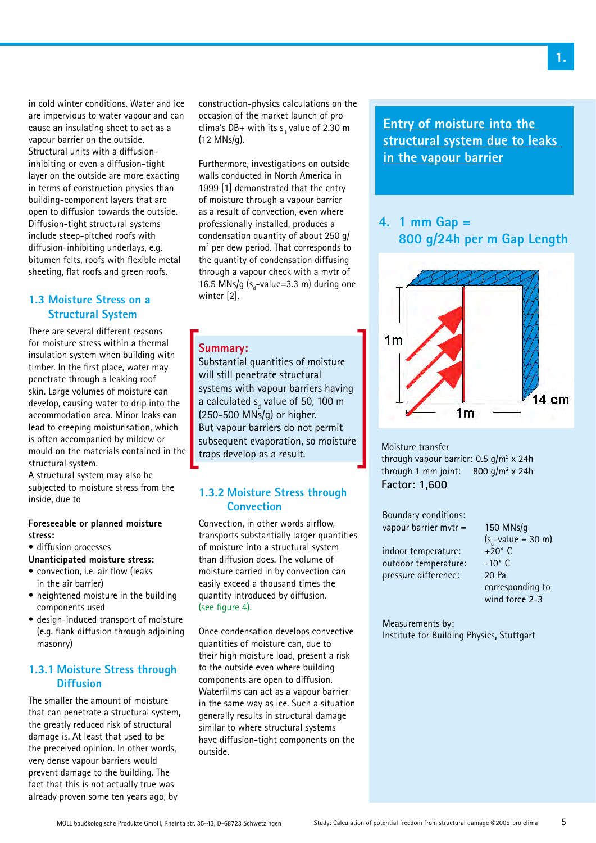in cold winter conditions. Water and ice are impervious to water vapour and can cause an insulating sheet to act as a vapour barrier on the outside. Structural units with a diffusioninhibiting or even a diffusion-tight layer on the outside are more exacting in terms of construction physics than building-component layers that are open to diffusion towards the outside. Diffusion-tight structural systems include steep-pitched roofs with diffusion-inhibiting underlays, e.g. bitumen felts, roofs with flexible metal sheeting, flat roofs and green roofs.

# **1.3 Moisture Stress on a Structural System**

There are several different reasons for moisture stress within a thermal insulation system when building with timber. In the first place, water may penetrate through a leaking roof skin. Large volumes of moisture can develop, causing water to drip into the accommodation area. Minor leaks can lead to creeping moisturisation, which is often accompanied by mildew or mould on the materials contained in the structural system.

A structural system may also be subjected to moisture stress from the inside, due to

#### **Foreseeable or planned moisture stress:**

- diffusion processes
- **Unanticipated moisture stress:**
- convection, i.e. air flow (leaks in the air barrier)
- heightened moisture in the building components used
- design-induced transport of moisture (e.g. flank diffusion through adjoining masonry)

# **1.3.1 Moisture Stress through Diffusion**

The smaller the amount of moisture that can penetrate a structural system, the greatly reduced risk of structural damage is. At least that used to be the preceived opinion. In other words, very dense vapour barriers would prevent damage to the building. The fact that this is not actually true was already proven some ten years ago, by

construction-physics calculations on the occasion of the market launch of pro clima's DB+ with its  $s_d$  value of 2.30 m (12 MNs/g).

Furthermore, investigations on outside walls conducted in North America in 1999 [1] demonstrated that the entry of moisture through a vapour barrier as a result of convection, even where professionally installed, produces a condensation quantity of about 250 g/ m<sup>2</sup> per dew period. That corresponds to the quantity of condensation diffusing through a vapour check with a mvtr of 16.5 MNs/g  $(s_d$ -value=3.3 m) during one winter [2].

# **Summary:**

Substantial quantities of moisture will still penetrate structural systems with vapour barriers having a calculated  $s_{\rm d}$  value of 50, 100 m (250-500 MNs/g) or higher. But vapour barriers do not permit subsequent evaporation, so moisture traps develop as a result.

# **1.3.2 Moisture Stress through Convection**

Convection, in other words airflow, transports substantially larger quantities of moisture into a structural system than diffusion does. The volume of moisture carried in by convection can easily exceed a thousand times the quantity introduced by diffusion. (see figure 4).

Once condensation develops convective quantities of moisture can, due to their high moisture load, present a risk to the outside even where building components are open to diffusion. Waterfilms can act as a vapour barrier in the same way as ice. Such a situation generally results in structural damage similar to where structural systems have diffusion-tight components on the outside.

**Entry of moisture into the structural system due to leaks in the vapour barrier**

# **4. 1 mm Gap = 800 g/24h per m Gap Length**



Moisture transfer through vapour barrier:  $0.5$  g/m<sup>2</sup> x 24h through 1 mm joint:  $800 g/m^2 \times 24h$ **Factor: 1,600**

| $150$ MNs/g             |
|-------------------------|
| $(s_{d}$ -value = 30 m) |
| $+20^\circ$ C           |
| $-10^{\circ}$ C         |
| 20 Pa                   |
| corresponding to        |
| wind force 2-3          |
|                         |

Measurements by: Institute for Building Physics, Stuttgart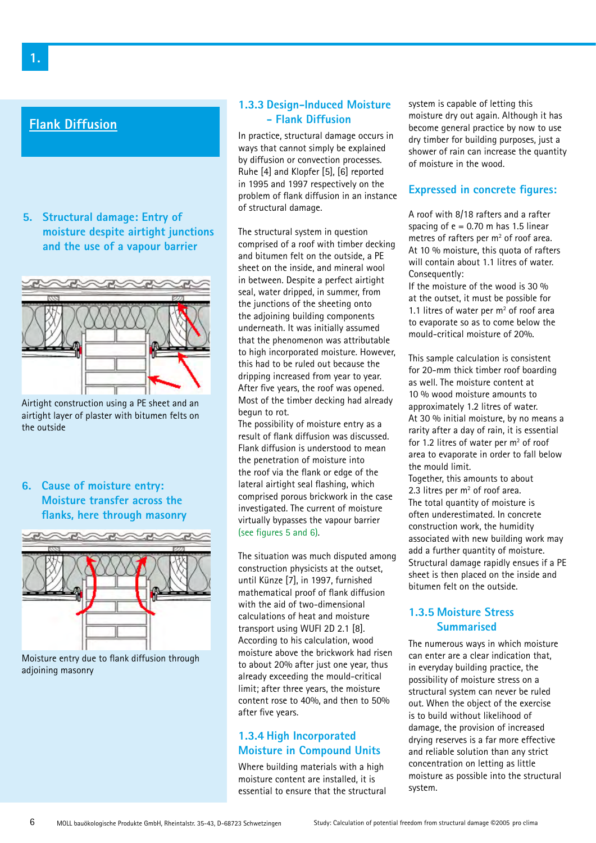# **Flank Diffusion**

**5. Structural damage: Entry of moisture despite airtight junctions and the use of a vapour barrier**



Airtight construction using a PE sheet and an airtight layer of plaster with bitumen felts on the outside

**6. Cause of moisture entry: Moisture transfer across the flanks, here through masonry**



Moisture entry due to flank diffusion through adjoining masonry

### **1.3.3 Design-Induced Moisture - Flank Diffusion**

In practice, structural damage occurs in ways that cannot simply be explained by diffusion or convection processes. Ruhe [4] and Klopfer [5], [6] reported in 1995 and 1997 respectively on the problem of flank diffusion in an instance of structural damage.

The structural system in question comprised of a roof with timber decking and bitumen felt on the outside, a PE sheet on the inside, and mineral wool in between. Despite a perfect airtight seal, water dripped, in summer, from the junctions of the sheeting onto the adjoining building components underneath. It was initially assumed that the phenomenon was attributable to high incorporated moisture. However, this had to be ruled out because the dripping increased from year to year. After five years, the roof was opened. Most of the timber decking had already begun to rot.

The possibility of moisture entry as a result of flank diffusion was discussed. Flank diffusion is understood to mean the penetration of moisture into the roof via the flank or edge of the lateral airtight seal flashing, which comprised porous brickwork in the case investigated. The current of moisture virtually bypasses the vapour barrier (see figures 5 and 6).

The situation was much disputed among construction physicists at the outset, until Künze [7], in 1997, furnished mathematical proof of flank diffusion with the aid of two-dimensional calculations of heat and moisture transport using WUFI 2D 2.1 [8]. According to his calculation, wood moisture above the brickwork had risen to about 20% after just one year, thus already exceeding the mould-critical limit; after three years, the moisture content rose to 40%, and then to 50% after five years.

# **1.3.4 High Incorporated Moisture in Compound Units**

Where building materials with a high moisture content are installed, it is essential to ensure that the structural system is capable of letting this moisture dry out again. Although it has become general practice by now to use dry timber for building purposes, just a shower of rain can increase the quantity of moisture in the wood.

# **Expressed in concrete figures:**

A roof with 8/18 rafters and a rafter spacing of  $e = 0.70$  m has 1.5 linear metres of rafters per  $m<sup>2</sup>$  of roof area. At 10 % moisture, this quota of rafters will contain about 1.1 litres of water. Consequently:

If the moisture of the wood is 30 % at the outset, it must be possible for 1.1 litres of water per  $m<sup>2</sup>$  of roof area to evaporate so as to come below the mould-critical moisture of 20%.

This sample calculation is consistent for 20-mm thick timber roof boarding as well. The moisture content at 10 % wood moisture amounts to approximately 1.2 litres of water. At 30 % initial moisture, by no means a rarity after a day of rain, it is essential for 1.2 litres of water per  $m<sup>2</sup>$  of roof area to evaporate in order to fall below the mould limit.

Together, this amounts to about 2.3 litres per  $m<sup>2</sup>$  of roof area. The total quantity of moisture is often underestimated. In concrete construction work, the humidity associated with new building work may add a further quantity of moisture. Structural damage rapidly ensues if a PE sheet is then placed on the inside and bitumen felt on the outside.

# **1.3.5 Moisture Stress Summarised**

The numerous ways in which moisture can enter are a clear indication that, in everyday building practice, the possibility of moisture stress on a structural system can never be ruled out. When the object of the exercise is to build without likelihood of damage, the provision of increased drying reserves is a far more effective and reliable solution than any strict concentration on letting as little moisture as possible into the structural system.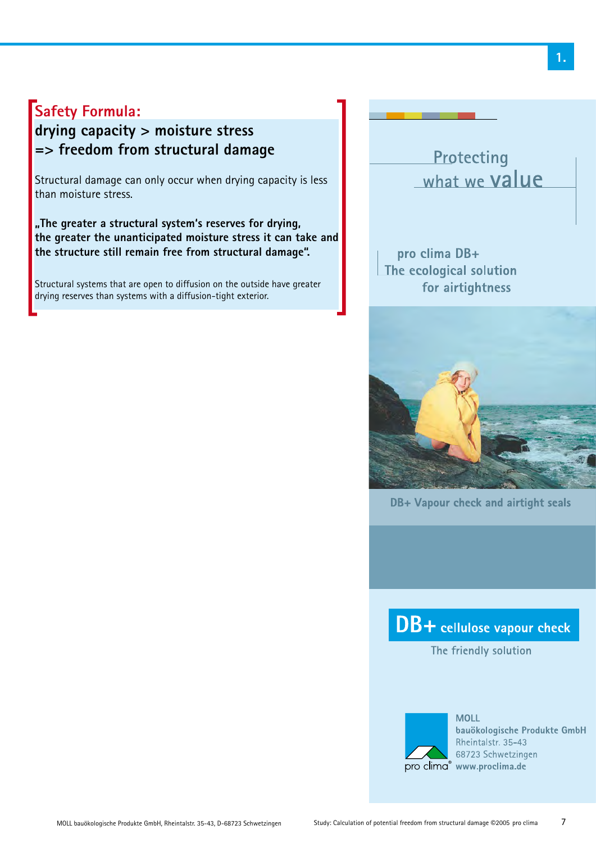# **Safety Formula:**

# **drying capacity > moisture stress => freedom from structural damage**

Structural damage can only occur when drying capacity is less than moisture stress.

**"The greater a structural system's reserves for drying, the greater the unanticipated moisture stress it can take and the structure still remain free from structural damage".** 

Structural systems that are open to diffusion on the outside have greater drying reserves than systems with a diffusion-tight exterior.

Protecting what we value

pro clima DB+ The ecological solution for airtightness



DB+ Vapour check and airtight seals

DB+ cellulose vapour check

The friendly solution



**MOLL** bauökologische Produkte GmbH Rheintalstr, 35-43 68723 Schwetzingen pro clima® www.proclima.de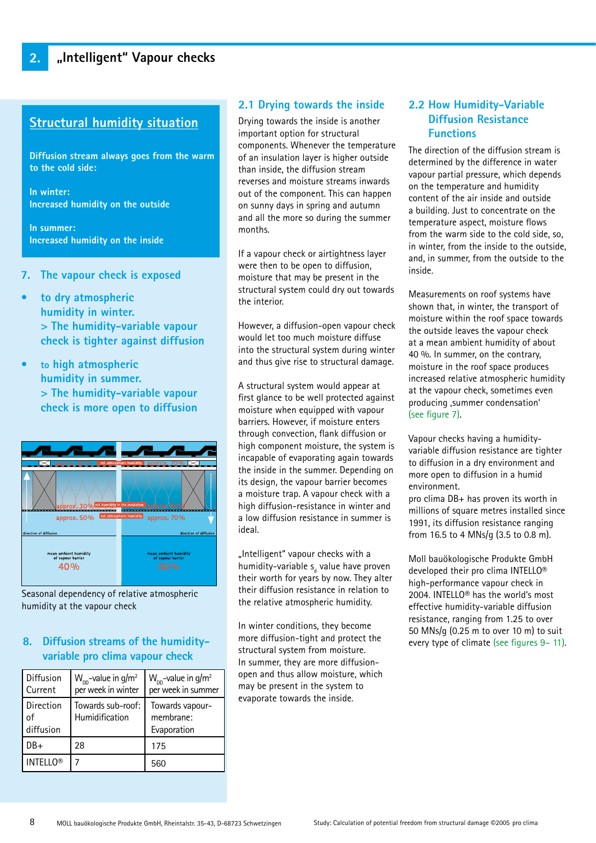# **Structural humidity situation**

**Diffusion stream always goes from the warm to the cold side:**

**In winter: Increased humidity on the outside**

**In summer: Increased humidity on the inside**

- **7. The vapour check is exposed**
- **to dry atmospheric humidity in winter. > The humidity-variable vapour check is tighter against diffusion**
- **• to high atmospheric humidity in summer. > The humidity-variable vapour check is more open to diffusion**



Seasonal dependency of relative atmospheric humidity at the vapour check

# **8. Diffusion streams of the humidityvariable pro clima vapour check**

| Diffusion<br>l Current         | $W_{DD}$ -value in g/m <sup>2</sup><br>per week in winter | $W_{\text{DD}}$ -value in g/m <sup>2</sup><br>per week in summer |
|--------------------------------|-----------------------------------------------------------|------------------------------------------------------------------|
| l Direction<br>οf<br>diffusion | Towards sub-roof:<br>Humidification                       | Towards vapour-<br>membrane:<br>Evaporation                      |
| $DB+$                          | 28                                                        | 175                                                              |
| <b>INTELLO®</b>                |                                                           | 560                                                              |

### **2.1 Drying towards the inside**

Drying towards the inside is another important option for structural components. Whenever the temperature of an insulation layer is higher outside than inside, the diffusion stream reverses and moisture streams inwards out of the component. This can happen on sunny days in spring and autumn and all the more so during the summer months.

If a vapour check or airtightness layer were then to be open to diffusion, moisture that may be present in the structural system could dry out towards the interior.

However, a diffusion-open vapour check would let too much moisture diffuse into the structural system during winter and thus give rise to structural damage.

A structural system would appear at first glance to be well protected against moisture when equipped with vapour barriers. However, if moisture enters through convection, flank diffusion or high component moisture, the system is incapable of evaporating again towards the inside in the summer. Depending on its design, the vapour barrier becomes a moisture trap. A vapour check with a high diffusion-resistance in winter and a low diffusion resistance in summer is ideal.

"Intelligent" vapour checks with a humidity-variable s<sub>a</sub> value have proven their worth for years by now. They alter their diffusion resistance in relation to the relative atmospheric humidity.

In winter conditions, they become more diffusion-tight and protect the structural system from moisture. In summer, they are more diffusionopen and thus allow moisture, which may be present in the system to evaporate towards the inside.

# **2.2 How Humidity-Variable Diffusion Resistance Functions**

The direction of the diffusion stream is determined by the difference in water vapour partial pressure, which depends on the temperature and humidity content of the air inside and outside a building. Just to concentrate on the temperature aspect, moisture flows from the warm side to the cold side, so, in winter, from the inside to the outside, and, in summer, from the outside to the inside.

Measurements on roof systems have shown that, in winter, the transport of moisture within the roof space towards the outside leaves the vapour check at a mean ambient humidity of about 40 %. In summer, on the contrary, moisture in the roof space produces increased relative atmospheric humidity at the vapour check, sometimes even producing ,summer condensation' (see figure 7).

Vapour checks having a humidityvariable diffusion resistance are tighter to diffusion in a dry environment and more open to diffusion in a humid environment.

pro clima DB+ has proven its worth in millions of square metres installed since 1991, its diffusion resistance ranging from 16.5 to 4 MNs/g (3.5 to 0.8 m).

Moll bauökologische Produkte GmbH developed their pro clima INTELLO® high-performance vapour check in 2004. INTELLO® has the world's most effective humidity-variable diffusion resistance, ranging from 1.25 to over 50 MNs/g (0.25 m to over 10 m) to suit every type of climate (see figures 9– 11).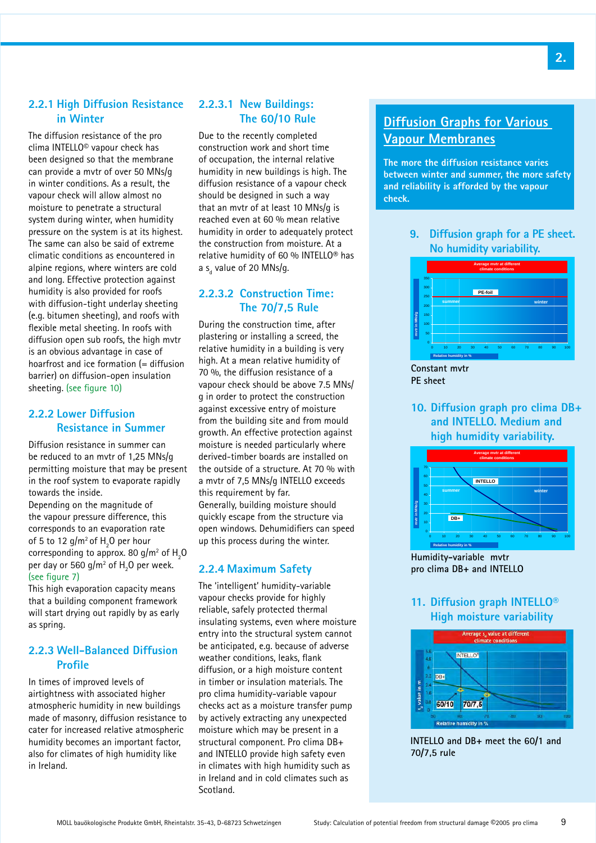# **2.2.1 High Diffusion Resistance in Winter**

The diffusion resistance of the pro clima INTELLO© vapour check has been designed so that the membrane can provide a mvtr of over 50 MNs/g in winter conditions. As a result, the vapour check will allow almost no moisture to penetrate a structural system during winter, when humidity pressure on the system is at its highest. The same can also be said of extreme climatic conditions as encountered in alpine regions, where winters are cold and long. Effective protection against humidity is also provided for roofs with diffusion-tight underlay sheeting (e.g. bitumen sheeting), and roofs with flexible metal sheeting. In roofs with diffusion open sub roofs, the high mvtr is an obvious advantage in case of hoarfrost and ice formation (= diffusion barrier) on diffusion-open insulation sheeting. (see figure 10)

# **2.2.2 Lower Diffusion Resistance in Summer**

Diffusion resistance in summer can be reduced to an mvtr of 1,25 MNs/g permitting moisture that may be present in the roof system to evaporate rapidly towards the inside.

Depending on the magnitude of the vapour pressure difference, this corresponds to an evaporation rate of 5 to 12 g/m<sup>2</sup> of  $H<sub>2</sub>$ O per hour corresponding to approx. 80 g/m $^2$  of  ${\sf H}_2^{}$ O per day or 560 g/m $^2$  of  $\rm H^{}_2\rm O$  per week. (see figure 7)

This high evaporation capacity means that a building component framework will start drying out rapidly by as early as spring.

### **2.2.3 Well-Balanced Diffusion Profile**

In times of improved levels of airtightness with associated higher atmospheric humidity in new buildings made of masonry, diffusion resistance to cater for increased relative atmospheric humidity becomes an important factor, also for climates of high humidity like in Ireland.

# **2.2.3.1 New Buildings: The 60/10 Rule**

Due to the recently completed construction work and short time of occupation, the internal relative humidity in new buildings is high. The diffusion resistance of a vapour check should be designed in such a way that an mvtr of at least 10 MNs/g is reached even at 60 % mean relative humidity in order to adequately protect the construction from moisture. At a relative humidity of 60 % INTELLO® has a s<sub>d</sub> value of 20 MNs/g.

# **2.2.3.2 Construction Time: The 70/7,5 Rule**

During the construction time, after plastering or installing a screed, the relative humidity in a building is very high. At a mean relative humidity of 70 %, the diffusion resistance of a vapour check should be above 7.5 MNs/ g in order to protect the construction against excessive entry of moisture from the building site and from mould growth. An effective protection against moisture is needed particularly where derived-timber boards are installed on the outside of a structure. At 70 % with a mvtr of 7,5 MNs/g INTELLO exceeds this requirement by far. Generally, building moisture should quickly escape from the structure via open windows. Dehumidifiers can speed up this process during the winter.

# **2.2.4 Maximum Safety**

The 'intelligent' humidity-variable vapour checks provide for highly reliable, safely protected thermal insulating systems, even where moisture entry into the structural system cannot be anticipated, e.g. because of adverse weather conditions, leaks, flank diffusion, or a high moisture content in timber or insulation materials. The pro clima humidity-variable vapour checks act as a moisture transfer pump by actively extracting any unexpected moisture which may be present in a structural component. Pro clima DB+ and INTELLO provide high safety even in climates with high humidity such as in Ireland and in cold climates such as Scotland.

# **Diffusion Graphs for Various Vapour Membranes**

**The more the diffusion resistance varies between winter and summer, the more safety and reliability is afforded by the vapour check.**

> **9. Diffusion graph for a PE sheet. No humidity variability.**



**PE sheet PE sheet**

# **10. Diffusion graph pro clima DB+ and INTELLO. Medium and high humidity variability.**



**Humidity-variable mvtr pro clima DB+ and INTELLO pro clima DB+ and INTELLO**

# **11. Diffusion graph INTELLO® High moisture variability**



**INTELLO and DB+ meet the 60/1 and 70/7,5 rule**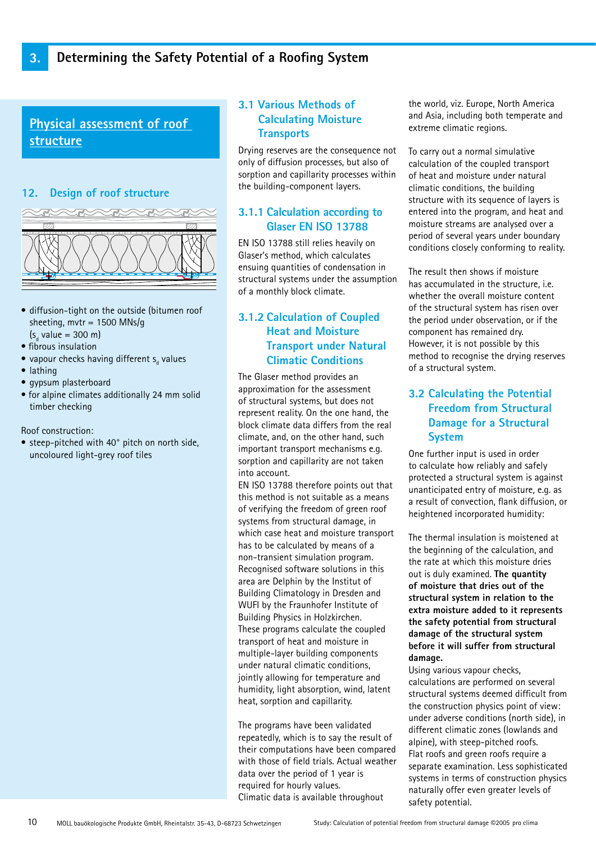**Physical assessment of roof structure**

# **12. Design of roof structure**



- diffusion-tight on the outside (bitumen roof sheeting, mvtr = 1500 MNs/g
- (s<sub>d</sub> value = 300 m) • fibrous insulation
- $\bullet$  vapour checks having different  $\mathsf{s}_{_\text{d}}$  values
- lathing
- gypsum plasterboard
- for alpine climates additionally 24 mm solid timber checking

Roof construction:

• steep-pitched with 40° pitch on north side, uncoloured light-grey roof tiles

# **3.1 Various Methods of Calculating Moisture Transports**

Drying reserves are the consequence not only of diffusion processes, but also of sorption and capillarity processes within the building-component layers.

# **3.1.1 Calculation according to Glaser EN ISO 13788**

EN ISO 13788 still relies heavily on Glaser's method, which calculates ensuing quantities of condensation in structural systems under the assumption of a monthly block climate.

# **3.1.2 Calculation of Coupled Heat and Moisture Transport under Natural Climatic Conditions**

The Glaser method provides an approximation for the assessment of structural systems, but does not represent reality. On the one hand, the block climate data differs from the real climate, and, on the other hand, such important transport mechanisms e.g. sorption and capillarity are not taken into account.

EN ISO 13788 therefore points out that this method is not suitable as a means of verifying the freedom of green roof systems from structural damage, in which case heat and moisture transport has to be calculated by means of a non-transient simulation program. Recognised software solutions in this area are Delphin by the Institut of Building Climatology in Dresden and WUFI by the Fraunhofer Institute of Building Physics in Holzkirchen. These programs calculate the coupled transport of heat and moisture in multiple-layer building components under natural climatic conditions, jointly allowing for temperature and humidity, light absorption, wind, latent heat, sorption and capillarity.

The programs have been validated repeatedly, which is to say the result of their computations have been compared with those of field trials. Actual weather data over the period of 1 year is required for hourly values. Climatic data is available throughout

the world, viz. Europe, North America and Asia, including both temperate and extreme climatic regions.

To carry out a normal simulative calculation of the coupled transport of heat and moisture under natural climatic conditions, the building structure with its sequence of layers is entered into the program, and heat and moisture streams are analysed over a period of several years under boundary conditions closely conforming to reality.

The result then shows if moisture has accumulated in the structure, i.e. whether the overall moisture content of the structural system has risen over the period under observation, or if the component has remained dry. However, it is not possible by this method to recognise the drying reserves of a structural system.

# **3.2 Calculating the Potential Freedom from Structural Damage for a Structural System**

One further input is used in order to calculate how reliably and safely protected a structural system is against unanticipated entry of moisture, e.g. as a result of convection, flank diffusion, or heightened incorporated humidity:

The thermal insulation is moistened at the beginning of the calculation, and the rate at which this moisture dries out is duly examined. **The quantity of moisture that dries out of the structural system in relation to the extra moisture added to it represents the safety potential from structural damage of the structural system before it will suffer from structural damage.**

Using various vapour checks, calculations are performed on several structural systems deemed difficult from the construction physics point of view: under adverse conditions (north side), in different climatic zones (lowlands and alpine), with steep-pitched roofs. Flat roofs and green roofs require a separate examination. Less sophisticated systems in terms of construction physics naturally offer even greater levels of safety potential.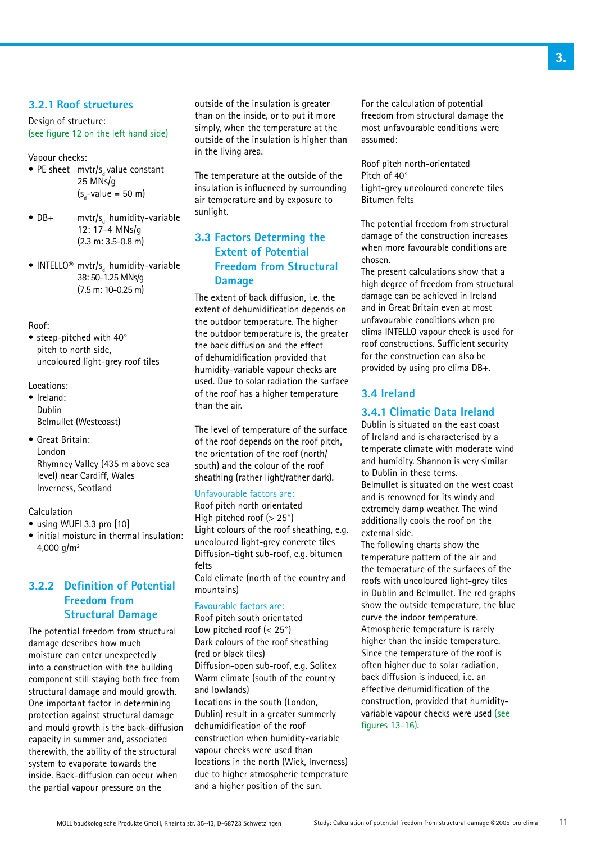### **3.2.1 Roof structures**

Design of structure: (see figure 12 on the left hand side)

Vapour checks:

- PE sheet mvtr/s<sub>d</sub> value constant 25 MNs/g  $(s_d$ -value = 50 m)
- $DB+$  mvtr/s<sub>d</sub> humidity-variable 12: 17-4 MNs/g (2.3 m: 3.5-0.8 m)
- INTELLO<sup>®</sup> mvtr/s<sub>d</sub> humidity-variable 38: 50-1.25 MNs/g (7.5 m: 10-0.25 m)

#### Roof:

• steep-pitched with 40° pitch to north side, uncoloured light-grey roof tiles

#### Locations:

- Ireland: Dublin Belmullet (Westcoast)
- Great Britain: London Rhymney Valley (435 m above sea level) near Cardiff, Wales Inverness, Scotland

#### Calculation

- using WUFI 3.3 pro [10]
- initial moisture in thermal insulation: 4,000  $a/m^2$

# **3.2.2 Definition of Potential Freedom from Structural Damage**

The potential freedom from structural damage describes how much moisture can enter unexpectedly into a construction with the building component still staying both free from structural damage and mould growth. One important factor in determining protection against structural damage and mould growth is the back-diffusion capacity in summer and, associated therewith, the ability of the structural system to evaporate towards the inside. Back-diffusion can occur when the partial vapour pressure on the

outside of the insulation is greater than on the inside, or to put it more simply, when the temperature at the outside of the insulation is higher than in the living area.

The temperature at the outside of the insulation is influenced by surrounding air temperature and by exposure to sunlight.

# **3.3 Factors Determing the Extent of Potential Freedom from Structural Damage**

The extent of back diffusion, i.e. the extent of dehumidification depends on the outdoor temperature. The higher the outdoor temperature is, the greater the back diffusion and the effect of dehumidification provided that humidity-variable vapour checks are used. Due to solar radiation the surface of the roof has a higher temperature than the air.

The level of temperature of the surface of the roof depends on the roof pitch, the orientation of the roof (north/ south) and the colour of the roof sheathing (rather light/rather dark).

#### Unfavourable factors are:

Roof pitch north orientated High pitched roof (> 25°) Light colours of the roof sheathing, e.g. uncoloured light-grey concrete tiles Diffusion-tight sub-roof, e.g. bitumen felts

Cold climate (north of the country and mountains)

#### Favourable factors are:

Roof pitch south orientated Low pitched roof (< 25°) Dark colours of the roof sheathing (red or black tiles) Diffusion-open sub-roof, e.g. Solitex Warm climate (south of the country and lowlands) Locations in the south (London, Dublin) result in a greater summerly dehumidification of the roof construction when humidity-variable vapour checks were used than locations in the north (Wick, Inverness) due to higher atmospheric temperature and a higher position of the sun.

For the calculation of potential freedom from structural damage the most unfavourable conditions were assumed:

Roof pitch north-orientated Pitch of 40° Light-grey uncoloured concrete tiles Bitumen felts

The potential freedom from structural damage of the construction increases when more favourable conditions are chosen.

The present calculations show that a high degree of freedom from structural damage can be achieved in Ireland and in Great Britain even at most unfavourable conditions when pro clima INTELLO vapour check is used for roof constructions. Sufficient security for the construction can also be provided by using pro clima DB+.

### **3.4 Ireland**

# **3.4.1 Climatic Data Ireland**

Dublin is situated on the east coast of Ireland and is characterised by a temperate climate with moderate wind and humidity. Shannon is very similar to Dublin in these terms. Belmullet is situated on the west coast and is renowned for its windy and extremely damp weather. The wind additionally cools the roof on the external side.

The following charts show the temperature pattern of the air and the temperature of the surfaces of the roofs with uncoloured light-grey tiles in Dublin and Belmullet. The red graphs show the outside temperature, the blue curve the indoor temperature. Atmospheric temperature is rarely higher than the inside temperature. Since the temperature of the roof is often higher due to solar radiation, back diffusion is induced, i.e. an effective dehumidification of the construction, provided that humidityvariable vapour checks were used (see figures 13-16).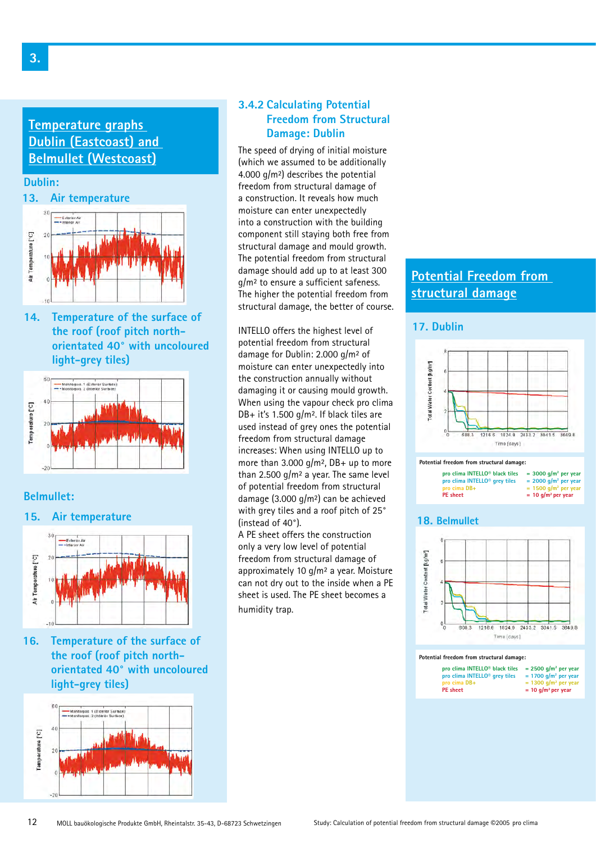# **Temperature graphs Dublin (Eastcoast) and Belmullet (Westcoast)**



**14. Temperature of the surface of the roof (roof pitch northorientated 40° with uncoloured light-grey tiles)**



### **Belmullet:**





**16. Temperature of the surface of the roof (roof pitch northorientated 40° with uncoloured light-grey tiles)**



# **3.4.2 Calculating Potential Freedom from Structural Damage: Dublin**

The speed of drying of initial moisture (which we assumed to be additionally 4.000 g/m²) describes the potential freedom from structural damage of a construction. It reveals how much moisture can enter unexpectedly into a construction with the building component still staying both free from structural damage and mould growth. The potential freedom from structural damage should add up to at least 300 g/m² to ensure a sufficient safeness. The higher the potential freedom from structural damage, the better of course.

INTELLO offers the highest level of potential freedom from structural damage for Dublin: 2.000 g/m² of moisture can enter unexpectedly into the construction annually without damaging it or causing mould growth. When using the vapour check pro clima DB+ it's 1.500 g/m². If black tiles are used instead of grey ones the potential freedom from structural damage increases: When using INTELLO up to more than 3.000 g/m², DB+ up to more than 2.500  $q/m^2$  a year. The same level of potential freedom from structural damage (3.000 g/m²) can be achieved with grey tiles and a roof pitch of 25° (instead of 40°).

A PE sheet offers the construction only a very low level of potential freedom from structural damage of approximately 10 g/m² a year. Moisture can not dry out to the inside when a PE sheet is used. The PE sheet becomes a humidity trap.

# **Potential Freedom from structural damage**

### **17. Dublin**







#### **18. Belmullet**



#### **Potential freedom from structural damage:**

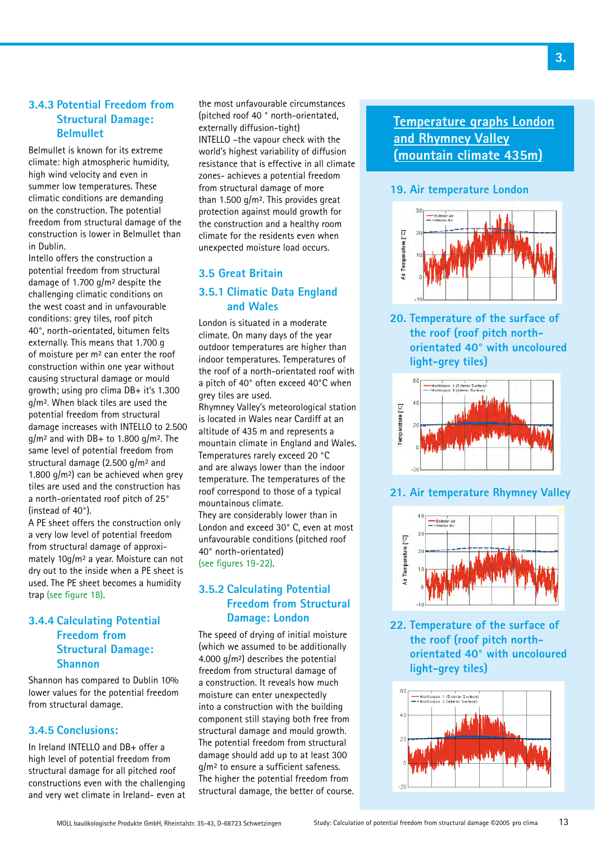# **3.4.3 Potential Freedom from Structural Damage: Belmullet**

Belmullet is known for its extreme climate: high atmospheric humidity, high wind velocity and even in summer low temperatures. These climatic conditions are demanding on the construction. The potential freedom from structural damage of the construction is lower in Belmullet than in Dublin.

Intello offers the construction a potential freedom from structural damage of 1.700 g/m² despite the challenging climatic conditions on the west coast and in unfavourable conditions: grey tiles, roof pitch 40°, north-orientated, bitumen felts externally. This means that 1.700 g of moisture per m² can enter the roof construction within one year without causing structural damage or mould growth; using pro clima DB+ it's 1.300 g/m². When black tiles are used the potential freedom from structural damage increases with INTELLO to 2.500  $q/m^2$  and with DB+ to 1.800  $q/m^2$ . The same level of potential freedom from structural damage (2.500 g/m² and 1.800  $q/m^2$ ) can be achieved when grey tiles are used and the construction has a north-orientated roof pitch of 25° (instead of 40°).

A PE sheet offers the construction only a very low level of potential freedom from structural damage of approximately 10g/m² a year. Moisture can not dry out to the inside when a PE sheet is used. The PE sheet becomes a humidity trap (see figure 18).

# **3.4.4 Calculating Potential Freedom from Structural Damage: Shannon**

Shannon has compared to Dublin 10% lower values for the potential freedom from structural damage.

# **3.4.5 Conclusions:**

In Ireland INTELLO and DB+ offer a high level of potential freedom from structural damage for all pitched roof constructions even with the challenging and very wet climate in Ireland- even at the most unfavourable circumstances (pitched roof 40 ° north-orientated, externally diffusion-tight) INTELLO –the vapour check with the world's highest variability of diffusion resistance that is effective in all climate zones- achieves a potential freedom from structural damage of more than 1.500 g/m². This provides great protection against mould growth for the construction and a healthy room climate for the residents even when unexpected moisture load occurs.

# **3.5 Great Britain 3.5.1 Climatic Data England and Wales**

London is situated in a moderate climate. On many days of the year outdoor temperatures are higher than indoor temperatures. Temperatures of the roof of a north-orientated roof with a pitch of 40° often exceed 40°C when grey tiles are used.

Rhymney Valley's meteorological station is located in Wales near Cardiff at an altitude of 435 m and represents a mountain climate in England and Wales. Temperatures rarely exceed 20 °C and are always lower than the indoor temperature. The temperatures of the roof correspond to those of a typical mountainous climate.

They are considerably lower than in London and exceed 30° C, even at most unfavourable conditions (pitched roof 40° north-orientated) (see figures 19-22).

# **3.5.2 Calculating Potential Freedom from Structural Damage: London**

The speed of drying of initial moisture (which we assumed to be additionally 4.000 g/m²) describes the potential freedom from structural damage of a construction. It reveals how much moisture can enter unexpectedly into a construction with the building component still staying both free from structural damage and mould growth. The potential freedom from structural damage should add up to at least 300 g/m² to ensure a sufficient safeness. The higher the potential freedom from structural damage, the better of course. **Temperature graphs London and Rhymney Valley (mountain climate 435m)**

# **19. Air temperature London**



**20. Temperature of the surface of the roof (roof pitch north- orientated 40° with uncoloured light-grey tiles)**



# **21. Air temperature Rhymney Valley**



**22. Temperature of the surface of the roof (roof pitch north- orientated 40° with uncoloured light-grey tiles)**

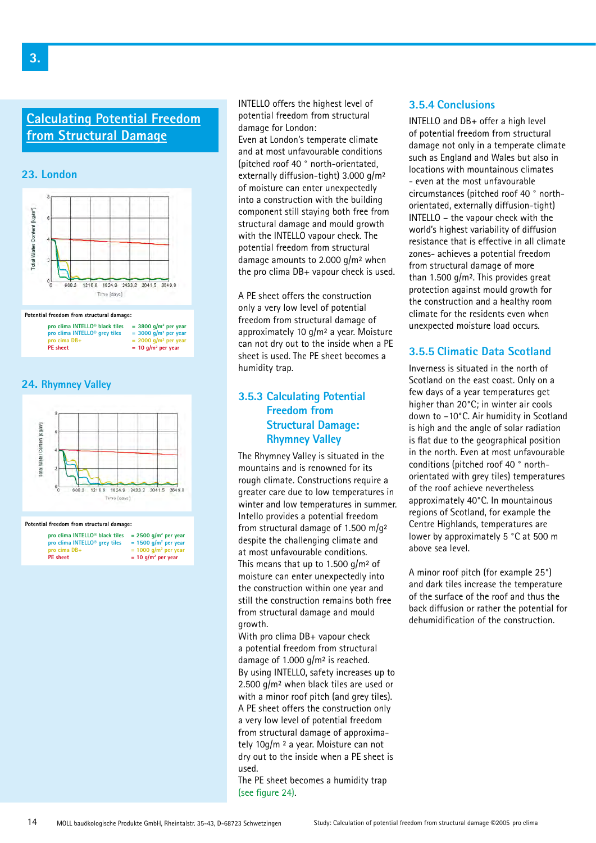# **Calculating Potential Freedom from Structural Damage**

**23. London**



| pro clima INTELLO <sup>®</sup> black tiles | $=$ 3800 g/m <sup>2</sup> per year |
|--------------------------------------------|------------------------------------|
| pro clima INTELLO <sup>®</sup> grey tiles  | $=$ 3000 g/m <sup>2</sup> per year |
| pro cima DB+                               | $= 2000$ g/m <sup>2</sup> per year |
| <b>PE</b> sheet                            | $= 10$ g/m <sup>2</sup> per year   |

#### **24. Rhymney Valley**



#### **Potential freedom from structural damage:**

| pro clima INTELLO <sup>®</sup> black tiles<br>pro clima INTELLO <sup>®</sup> grey tiles | $= 2500$ g/m <sup>2</sup> per year<br>$= 1500$ g/m <sup>2</sup> per year |
|-----------------------------------------------------------------------------------------|--------------------------------------------------------------------------|
| pro cima DB+                                                                            | $= 1000$ g/m <sup>2</sup> per year                                       |
| <b>PE</b> sheet                                                                         | $= 10$ g/m <sup>2</sup> per year                                         |

INTELLO offers the highest level of potential freedom from structural damage for London:

Even at London's temperate climate and at most unfavourable conditions (pitched roof 40 ° north-orientated, externally diffusion-tight) 3.000 g/m² of moisture can enter unexpectedly into a construction with the building component still staying both free from structural damage and mould growth with the INTELLO vapour check. The potential freedom from structural damage amounts to 2.000 g/m² when the pro clima DB+ vapour check is used.

A PE sheet offers the construction only a very low level of potential freedom from structural damage of approximately 10 g/m² a year. Moisture can not dry out to the inside when a PE sheet is used. The PE sheet becomes a humidity trap.

# **3.5.3 Calculating Potential Freedom from Structural Damage: Rhymney Valley**

The Rhymney Valley is situated in the mountains and is renowned for its rough climate. Constructions require a greater care due to low temperatures in winter and low temperatures in summer. Intello provides a potential freedom from structural damage of 1.500 m/g² despite the challenging climate and at most unfavourable conditions. This means that up to 1.500  $q/m^2$  of moisture can enter unexpectedly into the construction within one year and still the construction remains both free from structural damage and mould growth.

With pro clima DB+ vapour check a potential freedom from structural damage of 1.000 g/m² is reached. By using INTELLO, safety increases up to 2.500 g/m² when black tiles are used or with a minor roof pitch (and grey tiles). A PE sheet offers the construction only a very low level of potential freedom from structural damage of approximately 10g/m ² a year. Moisture can not dry out to the inside when a PE sheet is used.

The PE sheet becomes a humidity trap (see figure 24).

### **3.5.4 Conclusions**

INTELLO and DB+ offer a high level of potential freedom from structural damage not only in a temperate climate such as England and Wales but also in locations with mountainous climates - even at the most unfavourable circumstances (pitched roof 40 ° northorientated, externally diffusion-tight) INTELLO – the vapour check with the world's highest variability of diffusion resistance that is effective in all climate zones- achieves a potential freedom from structural damage of more than 1.500 g/m². This provides great protection against mould growth for the construction and a healthy room climate for the residents even when unexpected moisture load occurs.

# **3.5.5 Climatic Data Scotland**

Inverness is situated in the north of Scotland on the east coast. Only on a few days of a year temperatures get higher than 20°C; in winter air cools down to –10°C. Air humidity in Scotland is high and the angle of solar radiation is flat due to the geographical position in the north. Even at most unfavourable conditions (pitched roof 40 ° northorientated with grey tiles) temperatures of the roof achieve nevertheless approximately 40°C. In mountainous regions of Scotland, for example the Centre Highlands, temperatures are lower by approximately 5 °C at 500 m above sea level.

A minor roof pitch (for example 25°) and dark tiles increase the temperature of the surface of the roof and thus the back diffusion or rather the potential for dehumidification of the construction.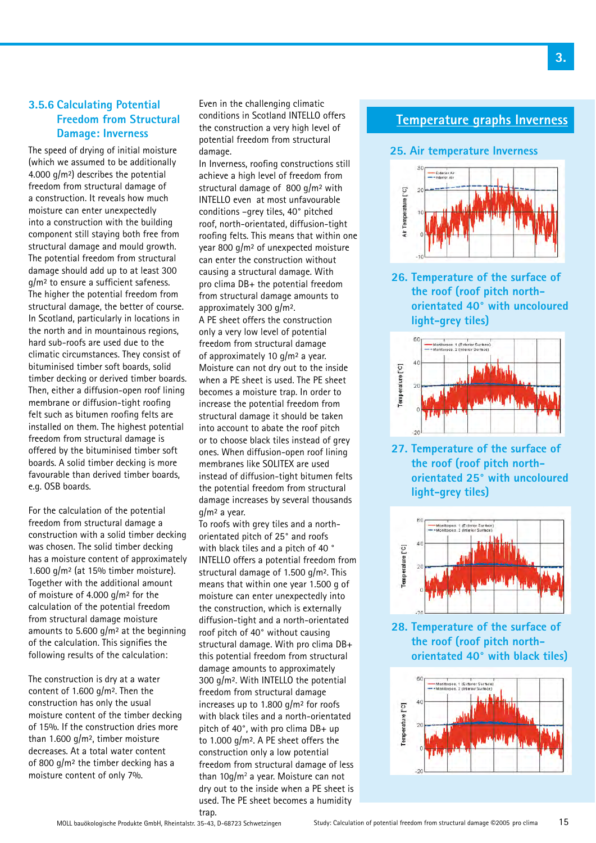# **3.5.6 Calculating Potential Freedom from Structural Damage: Inverness**

The speed of drying of initial moisture (which we assumed to be additionally 4.000 g/m²) describes the potential freedom from structural damage of a construction. It reveals how much moisture can enter unexpectedly into a construction with the building component still staying both free from structural damage and mould growth. The potential freedom from structural damage should add up to at least 300 g/m² to ensure a sufficient safeness. The higher the potential freedom from structural damage, the better of course. In Scotland, particularly in locations in the north and in mountainous regions, hard sub-roofs are used due to the climatic circumstances. They consist of bituminised timber soft boards, solid timber decking or derived timber boards. Then, either a diffusion-open roof lining membrane or diffusion-tight roofing felt such as bitumen roofing felts are installed on them. The highest potential freedom from structural damage is offered by the bituminised timber soft boards. A solid timber decking is more favourable than derived timber boards, e.g. OSB boards.

For the calculation of the potential freedom from structural damage a construction with a solid timber decking was chosen. The solid timber decking has a moisture content of approximately 1.600  $q/m^2$  (at 15% timber moisture). Together with the additional amount of moisture of 4.000 g/m² for the calculation of the potential freedom from structural damage moisture amounts to 5.600  $q/m^2$  at the beginning of the calculation. This signifies the following results of the calculation:

The construction is dry at a water content of 1.600 g/m². Then the construction has only the usual moisture content of the timber decking of 15%. If the construction dries more than 1.600 g/m², timber moisture decreases. At a total water content of 800 g/m² the timber decking has a moisture content of only 7%.

Even in the challenging climatic conditions in Scotland INTELLO offers the construction a very high level of potential freedom from structural damage.

In Inverness, roofing constructions still achieve a high level of freedom from structural damage of 800 g/m² with INTELLO even at most unfavourable conditions –grey tiles, 40° pitched roof, north-orientated, diffusion-tight roofing felts. This means that within one year 800 g/m² of unexpected moisture can enter the construction without causing a structural damage. With pro clima DB+ the potential freedom from structural damage amounts to approximately 300 g/m².

A PE sheet offers the construction only a very low level of potential freedom from structural damage of approximately 10 g/m² a year. Moisture can not dry out to the inside when a PE sheet is used. The PE sheet becomes a moisture trap. In order to increase the potential freedom from structural damage it should be taken into account to abate the roof pitch or to choose black tiles instead of grey ones. When diffusion-open roof lining membranes like SOLITEX are used instead of diffusion-tight bitumen felts the potential freedom from structural damage increases by several thousands g/m² a year.

To roofs with grey tiles and a northorientated pitch of 25° and roofs with black tiles and a pitch of 40 ° INTELLO offers a potential freedom from structural damage of 1.500 g/m². This means that within one year 1.500 g of moisture can enter unexpectedly into the construction, which is externally diffusion-tight and a north-orientated roof pitch of 40° without causing structural damage. With pro clima DB+ this potential freedom from structural damage amounts to approximately 300 g/m². With INTELLO the potential freedom from structural damage increases up to 1.800 g/m² for roofs with black tiles and a north-orientated pitch of 40°, with pro clima DB+ up to 1.000 g/m². A PE sheet offers the construction only a low potential freedom from structural damage of less than  $10g/m^2$  a year. Moisture can not dry out to the inside when a PE sheet is used. The PE sheet becomes a humidity trap.

# **Temperature graphs Inverness**

#### **25. Air temperature Inverness**



**26. Temperature of the surface of the roof (roof pitch north- orientated 40° with uncoloured light-grey tiles)**



**27. Temperature of the surface of the roof (roof pitch north- orientated 25° with uncoloured light-grey tiles)**



**28. Temperature of the surface of the roof (roof pitch north- orientated 40° with black tiles)**

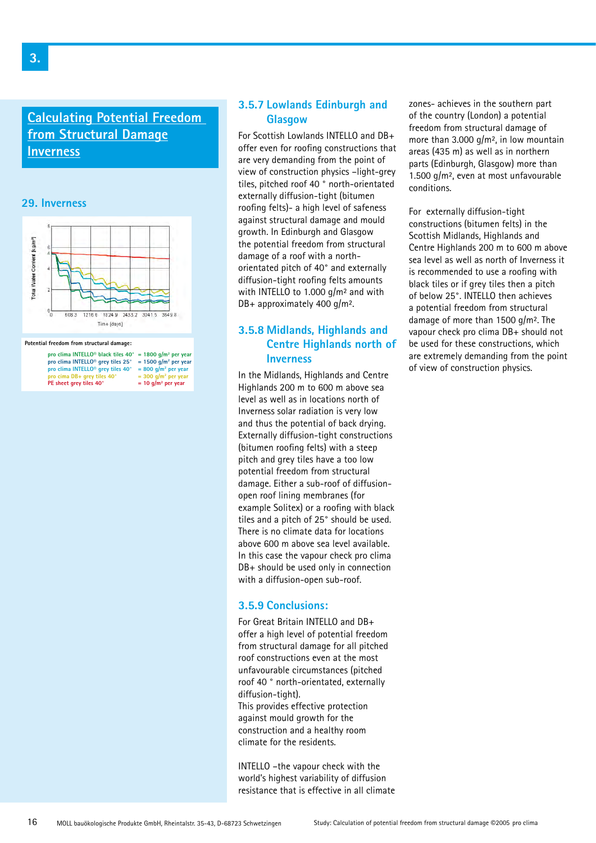# **Calculating Potential Freedom from Structural Damage Inverness**

### **29. Inverness**



#### **Potential freedom from structural damage:**

| pro clima INTELLO <sup>®</sup> black tiles $40^{\circ}$ = 1800 q/m <sup>2</sup> per year |                                    |
|------------------------------------------------------------------------------------------|------------------------------------|
| pro clima INTELLO <sup>®</sup> grey tiles 25°                                            | $= 1500$ g/m <sup>2</sup> per year |
| pro clima INTELLO <sup>®</sup> grey tiles 40°                                            | $= 800$ g/m <sup>2</sup> per year  |
| pro cima DB+ grey tiles 40°                                                              | $=$ 300 g/m <sup>2</sup> per year  |
| PE sheet grey tiles 40°                                                                  | $= 10$ g/m <sup>2</sup> per year   |

### **3.5.7 Lowlands Edinburgh and Glasgow**

For Scottish Lowlands INTELLO and DB+ offer even for roofing constructions that are very demanding from the point of view of construction physics –light-grey tiles, pitched roof 40 ° north-orientated externally diffusion-tight (bitumen roofing felts)- a high level of safeness against structural damage and mould growth. In Edinburgh and Glasgow the potential freedom from structural damage of a roof with a northorientated pitch of 40° and externally diffusion-tight roofing felts amounts with INTELLO to 1.000 g/m² and with DB+ approximately 400 g/m².

# **3.5.8 Midlands, Highlands and Centre Highlands north of Inverness**

In the Midlands, Highlands and Centre Highlands 200 m to 600 m above sea level as well as in locations north of Inverness solar radiation is very low and thus the potential of back drying. Externally diffusion-tight constructions (bitumen roofing felts) with a steep pitch and grey tiles have a too low potential freedom from structural damage. Either a sub-roof of diffusionopen roof lining membranes (for example Solitex) or a roofing with black tiles and a pitch of 25° should be used. There is no climate data for locations above 600 m above sea level available. In this case the vapour check pro clima DB+ should be used only in connection with a diffusion-open sub-roof.

### **3.5.9 Conclusions:**

For Great Britain INTELLO and DB+ offer a high level of potential freedom from structural damage for all pitched roof constructions even at the most unfavourable circumstances (pitched roof 40 ° north-orientated, externally diffusion-tight).

This provides effective protection against mould growth for the construction and a healthy room climate for the residents.

INTELLO –the vapour check with the world's highest variability of diffusion resistance that is effective in all climate zones- achieves in the southern part of the country (London) a potential freedom from structural damage of more than 3.000 g/m², in low mountain areas (435 m) as well as in northern parts (Edinburgh, Glasgow) more than 1.500 g/m², even at most unfavourable conditions.

For externally diffusion-tight constructions (bitumen felts) in the Scottish Midlands, Highlands and Centre Highlands 200 m to 600 m above sea level as well as north of Inverness it is recommended to use a roofing with black tiles or if grey tiles then a pitch of below 25°. INTELLO then achieves a potential freedom from structural damage of more than 1500 g/m². The vapour check pro clima DB+ should not be used for these constructions, which are extremely demanding from the point of view of construction physics.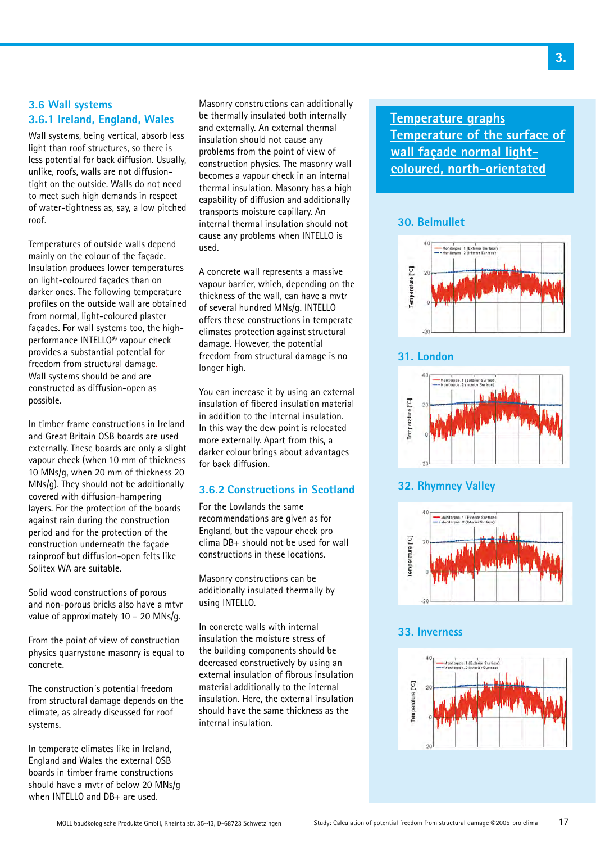# **3.6 Wall systems 3.6.1 Ireland, England, Wales**

Wall systems, being vertical, absorb less light than roof structures, so there is less potential for back diffusion. Usually, unlike, roofs, walls are not diffusiontight on the outside. Walls do not need to meet such high demands in respect of water-tightness as, say, a low pitched roof.

Temperatures of outside walls depend mainly on the colour of the façade. Insulation produces lower temperatures on light-coloured façades than on darker ones. The following temperature profiles on the outside wall are obtained from normal, light-coloured plaster façades. For wall systems too, the highperformance INTELLO® vapour check provides a substantial potential for freedom from structural damage. Wall systems should be and are constructed as diffusion-open as possible.

In timber frame constructions in Ireland and Great Britain OSB boards are used externally. These boards are only a slight vapour check (when 10 mm of thickness 10 MNs/g, when 20 mm of thickness 20 MNs/g). They should not be additionally covered with diffusion-hampering layers. For the protection of the boards against rain during the construction period and for the protection of the construction underneath the façade rainproof but diffusion-open felts like Solitex WA are suitable.

Solid wood constructions of porous and non-porous bricks also have a mtvr value of approximately 10 – 20 MNs/g.

From the point of view of construction physics quarrystone masonry is equal to concrete.

The construction´s potential freedom from structural damage depends on the climate, as already discussed for roof systems.

In temperate climates like in Ireland, England and Wales the external OSB boards in timber frame constructions should have a mvtr of below 20 MNs/g when INTELLO and DB+ are used.

Masonry constructions can additionally be thermally insulated both internally and externally. An external thermal insulation should not cause any problems from the point of view of construction physics. The masonry wall becomes a vapour check in an internal thermal insulation. Masonry has a high capability of diffusion and additionally transports moisture capillary. An internal thermal insulation should not cause any problems when INTELLO is used.

A concrete wall represents a massive vapour barrier, which, depending on the thickness of the wall, can have a mvtr of several hundred MNs/g. INTELLO offers these constructions in temperate climates protection against structural damage. However, the potential freedom from structural damage is no longer high.

You can increase it by using an external insulation of fibered insulation material in addition to the internal insulation. In this way the dew point is relocated more externally. Apart from this, a darker colour brings about advantages for back diffusion.

# **3.6.2 Constructions in Scotland**

For the Lowlands the same recommendations are given as for England, but the vapour check pro clima DB+ should not be used for wall constructions in these locations.

Masonry constructions can be additionally insulated thermally by using INTELLO.

In concrete walls with internal insulation the moisture stress of the building components should be decreased constructively by using an external insulation of fibrous insulation material additionally to the internal insulation. Here, the external insulation should have the same thickness as the internal insulation.

**Temperature graphs Temperature of the surface of wall façade normal lightcoloured, north-orientated**

# **30. Belmullet**



# **31. London**



# **32. Rhymney Valley**



# **33. Inverness**

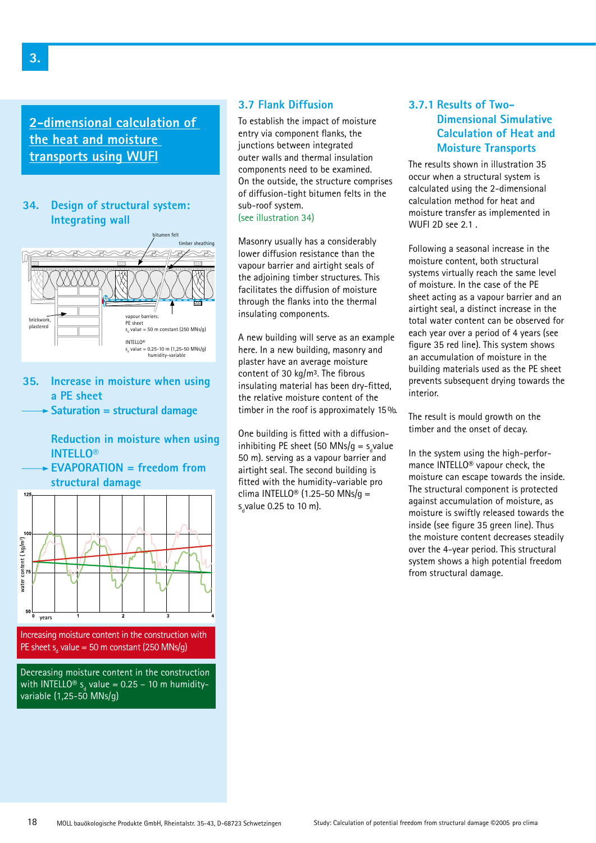**2-dimensional calculation of the heat and moisture transports using WUFI**

### **34. Design of structural system: Integrating wall**



**35. Increase in moisture when using a PE sheet**

**Saturation = structural damage**

 **Reduction in moisture when using INTELLO®**

**EVAPORATION = freedom from structural damage**



Decreasing moisture content in the construction with INTELLO® s<sub>d</sub> value = 0.25 – 10 m humidityvariable  $(1,25-50$  MNs/g)

# **3.7 Flank Diffusion**

To establish the impact of moisture entry via component flanks, the junctions between integrated outer walls and thermal insulation components need to be examined. On the outside, the structure comprises of diffusion-tight bitumen felts in the sub-roof system.

(see illustration 34)

Masonry usually has a considerably lower diffusion resistance than the vapour barrier and airtight seals of the adjoining timber structures. This facilitates the diffusion of moisture through the flanks into the thermal insulating components.

A new building will serve as an example here. In a new building, masonry and plaster have an average moisture content of 30 kg/m<sup>3</sup>. The fibrous insulating material has been dry-fitted, the relative moisture content of the timber in the roof is approximately 15 %.

One building is fitted with a diffusioninhibiting PE sheet (50 MNs/g =  $s_d$ value 50 m). serving as a vapour barrier and airtight seal. The second building is fitted with the humidity-variable pro clima INTELLO<sup>®</sup> (1.25-50 MNs/q = s<sub>a</sub>value 0.25 to 10 m).

# **3.7.1 Results of Two- Dimensional Simulative Calculation of Heat and Moisture Transports**

The results shown in illustration 35 occur when a structural system is calculated using the 2-dimensional calculation method for heat and moisture transfer as implemented in WUFI 2D see 2.1 .

Following a seasonal increase in the moisture content, both structural systems virtually reach the same level of moisture. In the case of the PE sheet acting as a vapour barrier and an airtight seal, a distinct increase in the total water content can be observed for each year over a period of 4 years (see figure 35 red line). This system shows an accumulation of moisture in the building materials used as the PE sheet prevents subsequent drying towards the interior.

The result is mould growth on the timber and the onset of decay.

In the system using the high-performance INTELLO® vapour check, the moisture can escape towards the inside. The structural component is protected against accumulation of moisture, as moisture is swiftly released towards the inside (see figure 35 green line). Thus the moisture content decreases steadily over the 4-year period. This structural system shows a high potential freedom from structural damage.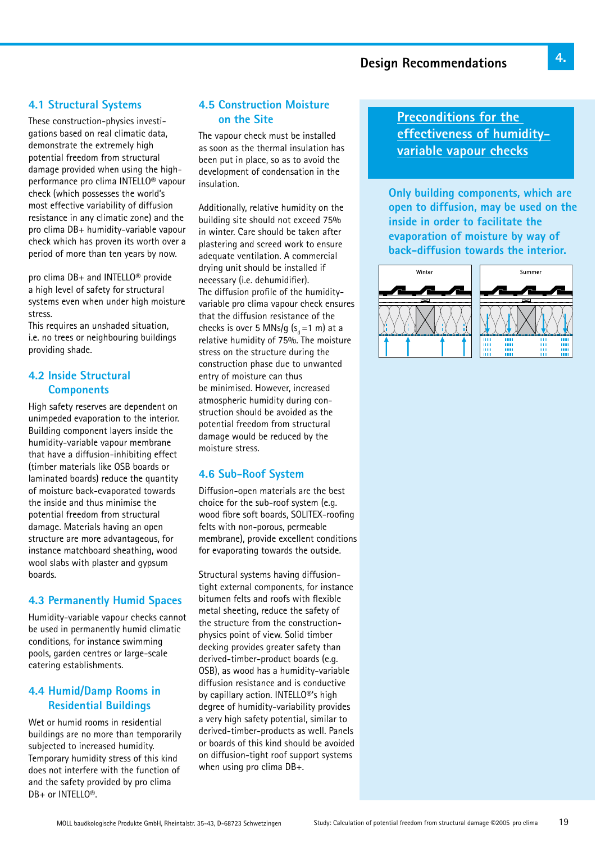# **Design Recommendations**

# **4.1 Structural Systems**

These construction-physics investigations based on real climatic data, demonstrate the extremely high potential freedom from structural damage provided when using the highperformance pro clima INTELLO® vapour check (which possesses the world's most effective variability of diffusion resistance in any climatic zone) and the pro clima DB+ humidity-variable vapour check which has proven its worth over a period of more than ten years by now.

pro clima DB+ and INTELLO® provide a high level of safety for structural systems even when under high moisture stress.

This requires an unshaded situation, i.e. no trees or neighbouring buildings providing shade.

# **4.2 Inside Structural Components**

High safety reserves are dependent on unimpeded evaporation to the interior. Building component layers inside the humidity-variable vapour membrane that have a diffusion-inhibiting effect (timber materials like OSB boards or laminated boards) reduce the quantity of moisture back-evaporated towards the inside and thus minimise the potential freedom from structural damage. Materials having an open structure are more advantageous, for instance matchboard sheathing, wood wool slabs with plaster and gypsum boards.

# **4.3 Permanently Humid Spaces**

Humidity-variable vapour checks cannot be used in permanently humid climatic conditions, for instance swimming pools, garden centres or large-scale catering establishments.

# **4.4 Humid/Damp Rooms in Residential Buildings**

Wet or humid rooms in residential buildings are no more than temporarily subjected to increased humidity. Temporary humidity stress of this kind does not interfere with the function of and the safety provided by pro clima DB+ or INTELLO®.

# **4.5 Construction Moisture on the Site**

The vapour check must be installed as soon as the thermal insulation has been put in place, so as to avoid the development of condensation in the insulation.

Additionally, relative humidity on the building site should not exceed 75% in winter. Care should be taken after plastering and screed work to ensure adequate ventilation. A commercial drying unit should be installed if necessary (i.e. dehumidifier). The diffusion profile of the humidityvariable pro clima vapour check ensures that the diffusion resistance of the checks is over 5 MNs/g  $(s_d = 1 \text{ m})$  at a relative humidity of 75%. The moisture stress on the structure during the construction phase due to unwanted entry of moisture can thus be minimised. However, increased atmospheric humidity during construction should be avoided as the potential freedom from structural damage would be reduced by the moisture stress.

### **4.6 Sub-Roof System**

Diffusion-open materials are the best choice for the sub-roof system (e.g. wood fibre soft boards, SOLITEX-roofing felts with non-porous, permeable membrane), provide excellent conditions for evaporating towards the outside.

Structural systems having diffusiontight external components, for instance bitumen felts and roofs with flexible metal sheeting, reduce the safety of the structure from the constructionphysics point of view. Solid timber decking provides greater safety than derived-timber-product boards (e.g. OSB), as wood has a humidity-variable diffusion resistance and is conductive by capillary action. INTELLO®'s high degree of humidity-variability provides a very high safety potential, similar to derived-timber-products as well. Panels or boards of this kind should be avoided on diffusion-tight roof support systems when using pro clima DB+.

**Preconditions for the effectiveness of humidityvariable vapour checks**

**Only building components, which are open to diffusion, may be used on the inside in order to facilitate the evaporation of moisture by way of back-diffusion towards the interior.**

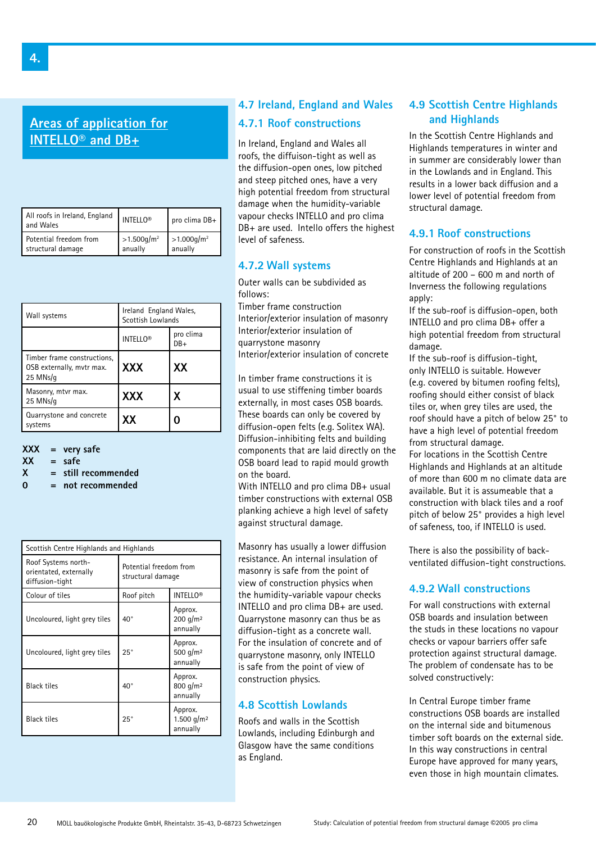**Areas of application for INTELLO® and DB+**

| All roofs in Ireland, England<br>and Wales | INTELLO <sup>®</sup>      | pro clima $DB +$          |
|--------------------------------------------|---------------------------|---------------------------|
| Potential freedom from                     | $>1.500$ g/m <sup>2</sup> | $>1.000$ g/m <sup>2</sup> |
| structural damage                          | anually                   | anually                   |

| Wall systems                                                         | Ireland England Wales,<br>Scottish Lowlands |                  |
|----------------------------------------------------------------------|---------------------------------------------|------------------|
|                                                                      | <b>INTELLO®</b>                             | pro clima<br>DB+ |
| Timber frame constructions.<br>OSB externally, mytr max.<br>25 MNs/g | <b>XXX</b>                                  | XX               |
| Masonry, mtvr max.<br>25 MNs/g                                       | <b>XXX</b>                                  | x                |
| Quarrystone and concrete<br>systems                                  | XΧ                                          | 0                |

#### **XXX = very safe**

 $XX = safe$ 

- **X = still recommended**
- **0 = not recommended**

| Scottish Centre Highlands and Highlands                          |                                             |                                               |  |
|------------------------------------------------------------------|---------------------------------------------|-----------------------------------------------|--|
| Roof Systems north-<br>orientated, externally<br>diffusion-tight | Potential freedom from<br>structural damage |                                               |  |
| Colour of tiles                                                  | Roof pitch                                  | <b>INTELLO®</b>                               |  |
| Uncoloured, light grey tiles                                     | $40^{\circ}$                                | Approx.<br>$200$ g/m <sup>2</sup><br>annually |  |
| Uncoloured, light grey tiles                                     | $25^{\circ}$                                | Approx.<br>500 g/m <sup>2</sup><br>annually   |  |
| <b>Black tiles</b>                                               | $40^{\circ}$                                | Approx.<br>800 g/m <sup>2</sup><br>annually   |  |
| <b>Black tiles</b>                                               | $25^{\circ}$                                | Approx.<br>1.500 g/m <sup>2</sup><br>annually |  |

# **4.7 Ireland, England and Wales 4.7.1 Roof constructions**

In Ireland, England and Wales all roofs, the diffuison-tight as well as the diffusion-open ones, low pitched and steep pitched ones, have a very high potential freedom from structural damage when the humidity-variable vapour checks INTELLO and pro clima DB+ are used. Intello offers the highest level of safeness.

### **4.7.2 Wall systems**

Outer walls can be subdivided as follows:

Timber frame construction Interior/exterior insulation of masonry Interior/exterior insulation of quarrystone masonry Interior/exterior insulation of concrete

In timber frame constructions it is usual to use stiffening timber boards externally, in most cases OSB boards. These boards can only be covered by diffusion-open felts (e.g. Solitex WA). Diffusion-inhibiting felts and building components that are laid directly on the OSB board lead to rapid mould growth on the board.

With INTELLO and pro clima DB+ usual timber constructions with external OSB planking achieve a high level of safety against structural damage.

Masonry has usually a lower diffusion resistance. An internal insulation of masonry is safe from the point of view of construction physics when the humidity-variable vapour checks INTELLO and pro clima DB+ are used. Quarrystone masonry can thus be as diffusion-tight as a concrete wall. For the insulation of concrete and of quarrystone masonry, only INTELLO is safe from the point of view of construction physics.

### **4.8 Scottish Lowlands**

Roofs and walls in the Scottish Lowlands, including Edinburgh and Glasgow have the same conditions as England.

# **4.9 Scottish Centre Highlands and Highlands**

In the Scottish Centre Highlands and Highlands temperatures in winter and in summer are considerably lower than in the Lowlands and in England. This results in a lower back diffusion and a lower level of potential freedom from structural damage.

# **4.9.1 Roof constructions**

For construction of roofs in the Scottish Centre Highlands and Highlands at an altitude of 200 – 600 m and north of Inverness the following regulations apply:

If the sub-roof is diffusion-open, both INTELLO and pro clima DB+ offer a high potential freedom from structural damage.

If the sub-roof is diffusion-tight, only INTELLO is suitable. However (e.g. covered by bitumen roofing felts), roofing should either consist of black tiles or, when grey tiles are used, the roof should have a pitch of below 25° to have a high level of potential freedom from structural damage.

For locations in the Scottish Centre Highlands and Highlands at an altitude of more than 600 m no climate data are available. But it is assumeable that a construction with black tiles and a roof pitch of below 25° provides a high level of safeness, too, if INTELLO is used.

There is also the possibility of backventilated diffusion-tight constructions.

### **4.9.2 Wall constructions**

For wall constructions with external OSB boards and insulation between the studs in these locations no vapour checks or vapour barriers offer safe protection against structural damage. The problem of condensate has to be solved constructively:

In Central Europe timber frame constructions OSB boards are installed on the internal side and bitumenous timber soft boards on the external side. In this way constructions in central Europe have approved for many years, even those in high mountain climates.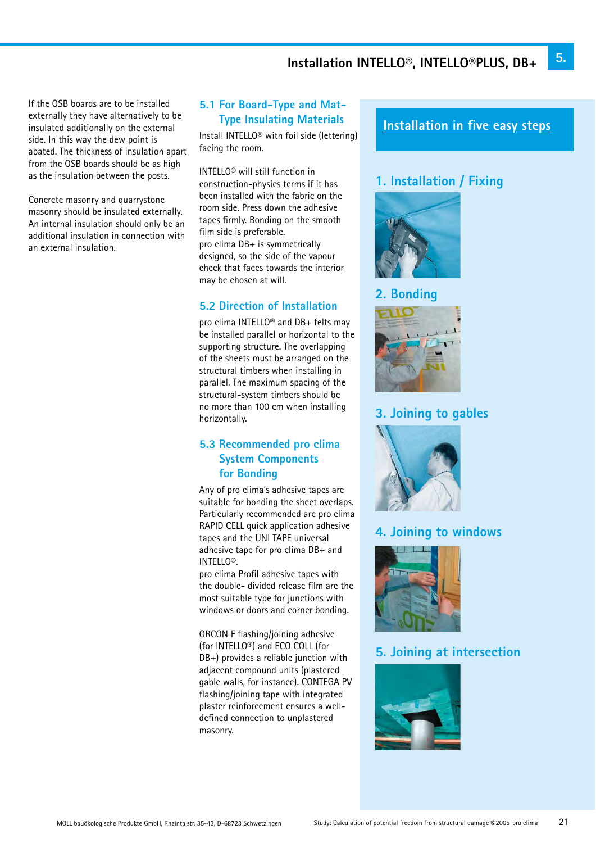If the OSB boards are to be installed externally they have alternatively to be insulated additionally on the external side. In this way the dew point is abated. The thickness of insulation apart from the OSB boards should be as high as the insulation between the posts.

Concrete masonry and quarrystone masonry should be insulated externally. An internal insulation should only be an additional insulation in connection with an external insulation.

# **5.1 For Board-Type and Mat- Type Insulating Materials**

Install INTELLO® with foil side (lettering) facing the room.

INTELLO® will still function in construction-physics terms if it has been installed with the fabric on the room side. Press down the adhesive tapes firmly. Bonding on the smooth film side is preferable. pro clima DB+ is symmetrically designed, so the side of the vapour check that faces towards the interior

# **5.2 Direction of Installation**

may be chosen at will.

pro clima INTELLO® and DB+ felts may be installed parallel or horizontal to the supporting structure. The overlapping of the sheets must be arranged on the structural timbers when installing in parallel. The maximum spacing of the structural-system timbers should be no more than 100 cm when installing horizontally.

# **5.3 Recommended pro clima System Components for Bonding**

Any of pro clima's adhesive tapes are suitable for bonding the sheet overlaps. Particularly recommended are pro clima RAPID CELL quick application adhesive tapes and the UNI TAPE universal adhesive tape for pro clima DB+ and INTELLO®.

pro clima Profil adhesive tapes with the double- divided release film are the most suitable type for junctions with windows or doors and corner bonding.

ORCON F flashing/joining adhesive (for INTELLO®) and ECO COLL (for DB+) provides a reliable junction with adjacent compound units (plastered gable walls, for instance). CONTEGA PV flashing/joining tape with integrated plaster reinforcement ensures a welldefined connection to unplastered masonry.

# **Installation in five easy steps**

# **1. Installation / Fixing**



# **2. Bonding**



# **3. Joining to gables**



# **4. Joining to windows**



# **5. Joining at intersection**

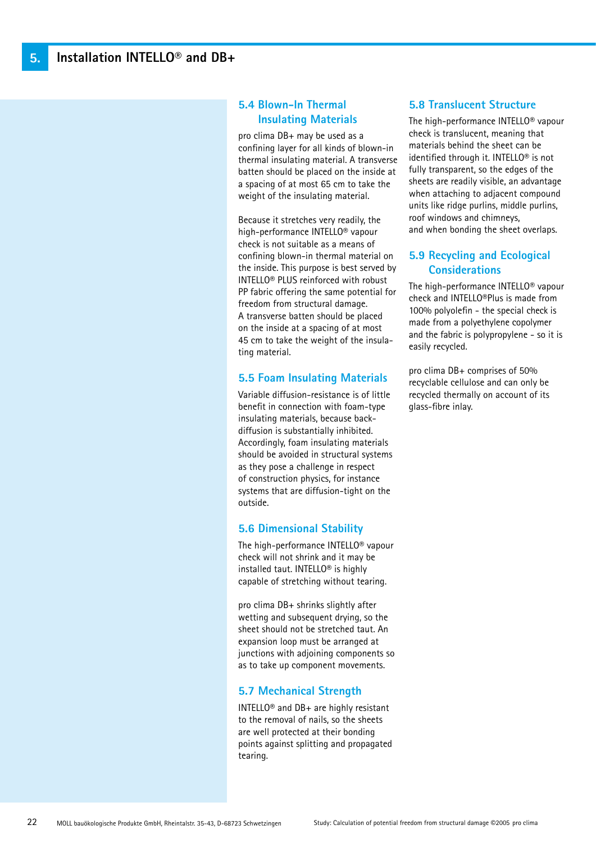# **5.4 Blown-In Thermal Insulating Materials**

pro clima DB+ may be used as a confining layer for all kinds of blown-in thermal insulating material. A transverse batten should be placed on the inside at a spacing of at most 65 cm to take the weight of the insulating material.

Because it stretches very readily, the high-performance INTELLO® vapour check is not suitable as a means of confining blown-in thermal material on the inside. This purpose is best served by INTELLO® PLUS reinforced with robust PP fabric offering the same potential for freedom from structural damage. A transverse batten should be placed on the inside at a spacing of at most 45 cm to take the weight of the insulating material.

### **5.5 Foam Insulating Materials**

Variable diffusion-resistance is of little benefit in connection with foam-type insulating materials, because backdiffusion is substantially inhibited. Accordingly, foam insulating materials should be avoided in structural systems as they pose a challenge in respect of construction physics, for instance systems that are diffusion-tight on the outside.

# **5.6 Dimensional Stability**

The high-performance INTELLO® vapour check will not shrink and it may be installed taut. INTELLO® is highly capable of stretching without tearing.

pro clima DB+ shrinks slightly after wetting and subsequent drying, so the sheet should not be stretched taut. An expansion loop must be arranged at junctions with adjoining components so as to take up component movements.

# **5.7 Mechanical Strength**

INTELLO® and DB+ are highly resistant to the removal of nails, so the sheets are well protected at their bonding points against splitting and propagated tearing.

# **5.8 Translucent Structure**

The high-performance INTELLO® vapour check is translucent, meaning that materials behind the sheet can be identified through it. INTELLO® is not fully transparent, so the edges of the sheets are readily visible, an advantage when attaching to adjacent compound units like ridge purlins, middle purlins, roof windows and chimneys, and when bonding the sheet overlaps.

# **5.9 Recycling and Ecological Considerations**

The high-performance INTELLO® vapour check and INTELLO®Plus is made from 100% polyolefin - the special check is made from a polyethylene copolymer and the fabric is polypropylene - so it is easily recycled.

pro clima DB+ comprises of 50% recyclable cellulose and can only be recycled thermally on account of its glass-fibre inlay.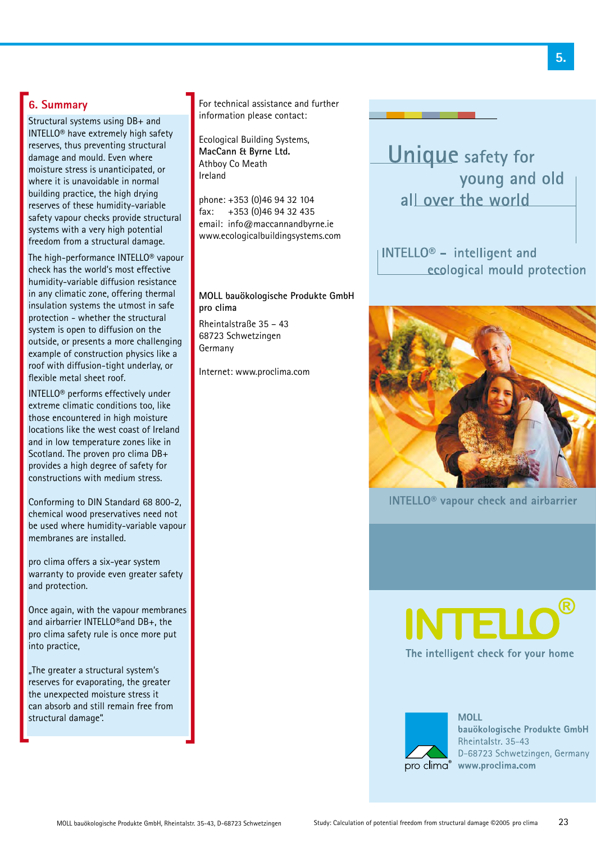# **6. Summary**

Structural systems using DB+ and INTELLO® have extremely high safety reserves, thus preventing structural damage and mould. Even where moisture stress is unanticipated, or where it is unavoidable in normal building practice, the high drying reserves of these humidity-variable safety vapour checks provide structural systems with a very high potential freedom from a structural damage.

The high-performance INTELLO® vapour check has the world's most effective humidity-variable diffusion resistance in any climatic zone, offering thermal insulation systems the utmost in safe protection - whether the structural system is open to diffusion on the outside, or presents a more challenging example of construction physics like a roof with diffusion-tight underlay, or flexible metal sheet roof.

INTELLO® performs effectively under extreme climatic conditions too, like those encountered in high moisture locations like the west coast of Ireland and in low temperature zones like in Scotland. The proven pro clima DB+ provides a high degree of safety for constructions with medium stress.

Conforming to DIN Standard 68 800-2, chemical wood preservatives need not be used where humidity-variable vapour membranes are installed.

pro clima offers a six-year system warranty to provide even greater safety and protection.

Once again, with the vapour membranes and airbarrier INTELLO®and DB+, the pro clima safety rule is once more put into practice,

"The greater a structural system's reserves for evaporating, the greater the unexpected moisture stress it can absorb and still remain free from structural damage".

For technical assistance and further information please contact:

Ecological Building Systems, **MacCann & Byrne Ltd.** Athboy Co Meath Ireland

phone: +353 (0)46 94 32 104 fax: +353 (0)46 94 32 435 email: info@maccannandbyrne.ie www.ecologicalbuildingsystems.com

**MOLL bauökologische Produkte GmbH pro clima**

Rheintalstraße 35 – 43 68723 Schwetzingen Germany

Internet: www.proclima.com



 $\parallel$ INTELLO<sup>®</sup> - intelligent and ecological mould protection



**INTELLO<sup>®</sup>** vapour check and airbarrier





**MOLL** bauökologische Produkte GmbH Rheintalstr. 35-43 D-68723 Schwetzingen, Germany pro clima® www.proclima.com